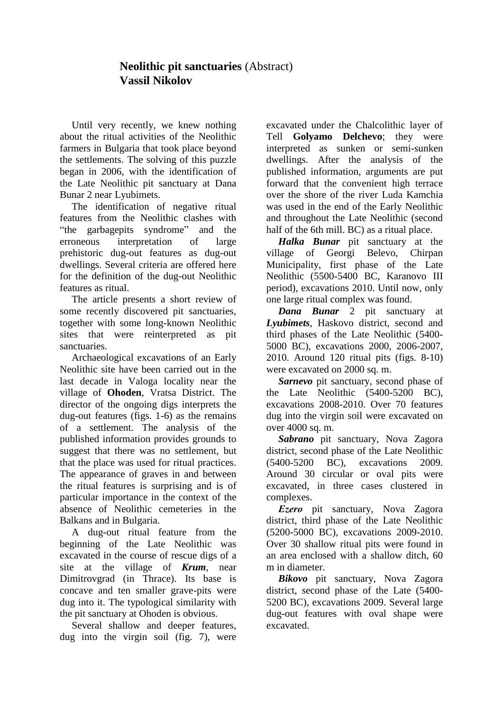## **Neolithic pit sanctuaries** (Abstract) **Vassil Nikolov**

Until very recently, we knew nothing about the ritual activities of the Neolithic farmers in Bulgaria that took place beyond the settlements. The solving of this puzzle began in 2006, with the identification of the Late Neolithic pit sanctuary at Dana Bunar 2 near Lyubimets.

The identification of negative ritual features from the Neolithic clashes with "the garbagepits syndrome" and the erroneous interpretation of large prehistoric dug-out features as dug-out dwellings. Several criteria are offered here for the definition of the dug-out Neolithic features as ritual.

The article presents a short review of some recently discovered pit sanctuaries, together with some long-known Neolithic sites that were reinterpreted as pit sanctuaries.

Archaeological excavations of an Early Neolithic site have been carried out in the last decade in Valoga locality near the village of **Ohoden**, Vratsa District. The director of the ongoing digs interprets the dug-out features (figs. 1-6) as the remains of a settlement. The analysis of the published information provides grounds to suggest that there was no settlement, but that the place was used for ritual practices. The appearance of graves in and between the ritual features is surprising and is of particular importance in the context of the absence of Neolithic cemeteries in the Balkans and in Bulgaria.

A dug-out ritual feature from the beginning of the Late Neolithic was excavated in the course of rescue digs of a site at the village of *Krum*, near Dimitrovgrad (in Thrace). Its base is concave and ten smaller grave-pits were dug into it. The typological similarity with the pit sanctuary at Ohoden is obvious.

Several shallow and deeper features, dug into the virgin soil (fig. 7), were

excavated under the Chalcolithic layer of Tell **Golyamo Delchevo**; they were interpreted as sunken or semi-sunken dwellings. After the analysis of the published information, arguments are put forward that the convenient high terrace over the shore of the river Luda Kamchia was used in the end of the Early Neolithic and throughout the Late Neolithic (second half of the 6th mill. BC) as a ritual place.

*Halka Bunar* pit sanctuary at the village of Georgi Belevo, Chirpan Municipality, first phase of the Late Neolithic (5500-5400 BC, Karanovo ІІІ period), excavations 2010. Until now, only one large ritual complex was found.

*Dana Bunar* 2 pit sanctuary at *Lyubimets*, Haskovo district, second and third phases of the Late Neolithic (5400- 5000 BC), excavations 2000, 2006-2007, 2010. Around 120 ritual pits (figs. 8-10) were excavated on 2000 sq. m.

*Sarnevo* pit sanctuary, second phase of the Late Neolithic (5400-5200 BC), excavations 2008-2010. Over 70 features dug into the virgin soil were excavated on over 4000 sq. m.

*Sabrano* pit sanctuary, Nova Zagora district, second phase of the Late Neolithic (5400-5200 BC), excavations 2009. Around 30 circular or oval pits were excavated, in three cases clustered in complexes.

*Еzеrо* pit sanctuary, Nova Zagora district, third phase of the Late Neolithic (5200-5000 BC), excavations 2009-2010. Over 30 shallow ritual pits were found in an area enclosed with a shallow ditch, 60 m in diameter.

*Bikovo* pit sanctuary, Nova Zagora district, second phase of the Late (5400- 5200 BC), excavations 2009. Several large dug-out features with oval shape were excavated.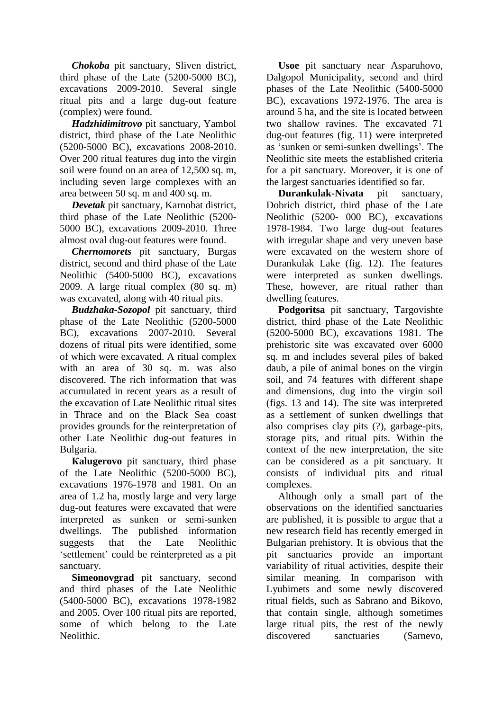*Chokoba* pit sanctuary, Sliven district, third phase of the Late (5200-5000 BC), excavations 2009-2010. Several single ritual pits and a large dug-out feature (complex) were found.

*Hadzhidimitrovo* pit sanctuary, Yambol district, third phase of the Late Neolithic (5200-5000 BC), excavations 2008-2010. Over 200 ritual features dug into the virgin soil were found on an area of 12,500 sq. m, including seven large complexes with an area between 50 sq. m and 400 sq. m.

*Devetak* pit sanctuary, Karnobat district, third phase of the Late Neolithic (5200- 5000 BC), excavations 2009-2010. Three almost oval dug-out features were found.

*Chernomorets* pit sanctuary, Burgas district, second and third phase of the Late Neolithic (5400-5000 BC), excavations 2009. A large ritual complex (80 sq. m) was excavated, along with 40 ritual pits.

*Budzhaka-Sozopol* pit sanctuary, third phase of the Late Neolithic (5200-5000 BC), excavations 2007-2010. Several dozens of ritual pits were identified, some of which were excavated. A ritual complex with an area of 30 sq. m. was also discovered. The rich information that was accumulated in recent years as a result of the excavation of Late Neolithic ritual sites in Thrace and on the Black Sea coast provides grounds for the reinterpretation of other Late Neolithic dug-out features in Bulgaria.

**Кalugerovo** pit sanctuary, third phase of the Late Neolithic (5200-5000 BC), excavations 1976-1978 and 1981. On an area of 1.2 ha, mostly large and very large dug-out features were excavated that were interpreted as sunken or semi-sunken dwellings. The published information suggests that the Late Neolithic 'settlement' could be reinterpreted as a pit sanctuary.

**Simeonovgrad** pit sanctuary, second and third phases of the Late Neolithic (5400-5000 BC), excavations 1978-1982 and 2005. Over 100 ritual pits are reported, some of which belong to the Late Neolithic.

**Usoe** pit sanctuary near Asparuhovo, Dalgopol Municipality, second and third phases of the Late Neolithic (5400-5000 BC), excavations 1972-1976. The area is around 5 ha, and the site is located between two shallow ravines. The excavated 71 dug-out features (fig. 11) were interpreted as 'sunken or semi-sunken dwellings'. The Neolithic site meets the established criteria for a pit sanctuary. Moreover, it is one of the largest sanctuaries identified so far.

**Durankulak-Nivata** pit sanctuary, Dobrich district, third phase of the Late Neolithic (5200- 000 BC), excavations 1978-1984. Two large dug-out features with irregular shape and very uneven base were excavated on the western shore of Durankulak Lake (fig. 12). The features were interpreted as sunken dwellings. These, however, are ritual rather than dwelling features.

**Podgoritsa** pit sanctuary, Targovishte district, third phase of the Late Neolithic (5200-5000 BC), excavations 1981. The prehistoric site was excavated over 6000 sq. m and includes several piles of baked daub, a pile of animal bones on the virgin soil, and 74 features with different shape and dimensions, dug into the virgin soil (figs. 13 and 14). The site was interpreted as a settlement of sunken dwellings that also comprises clay pits (?), garbage-pits, storage pits, and ritual pits. Within the context of the new interpretation, the site can be considered as a pit sanctuary. It consists of individual pits and ritual complexes.

Although only a small part of the observations on the identified sanctuaries are published, it is possible to argue that a new research field has recently emerged in Bulgarian prehistory. It is obvious that the pit sanctuaries provide an important variability of ritual activities, despite their similar meaning. In comparison with Lyubimets and some newly discovered ritual fields, such as Sabrano and Bikovo, that contain single, although sometimes large ritual pits, the rest of the newly discovered sanctuaries (Sarnevo,